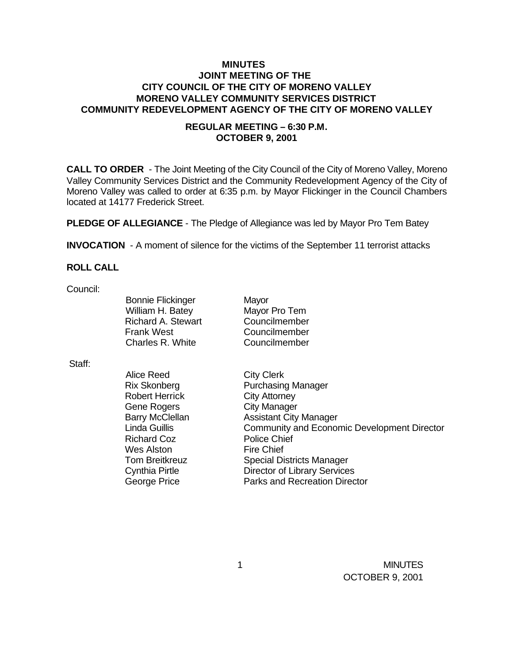### **MINUTES JOINT MEETING OF THE CITY COUNCIL OF THE CITY OF MORENO VALLEY MORENO VALLEY COMMUNITY SERVICES DISTRICT COMMUNITY REDEVELOPMENT AGENCY OF THE CITY OF MORENO VALLEY**

## **REGULAR MEETING – 6:30 P.M. OCTOBER 9, 2001**

**CALL TO ORDER** - The Joint Meeting of the City Council of the City of Moreno Valley, Moreno Valley Community Services District and the Community Redevelopment Agency of the City of Moreno Valley was called to order at 6:35 p.m. by Mayor Flickinger in the Council Chambers located at 14177 Frederick Street.

**PLEDGE OF ALLEGIANCE** - The Pledge of Allegiance was led by Mayor Pro Tem Batey

**INVOCATION** - A moment of silence for the victims of the September 11 terrorist attacks

# **ROLL CALL**

Council:

Bonnie Flickinger Mayor William H. Batey Mayor Pro Tem Richard A. Stewart Councilmember Frank West Councilmember Charles R. White Councilmember

Staff:

Alice Reed City Clerk Rix Skonberg Purchasing Manager Robert Herrick City Attorney Gene Rogers City Manager Barry McClellan Assistant City Manager Linda Guillis Community and Economic Development Director Richard Coz Police Chief Wes Alston Fire Chief Tom Breitkreuz **Special Districts Manager** Cynthia Pirtle Director of Library Services George Price **Parks** and Recreation Director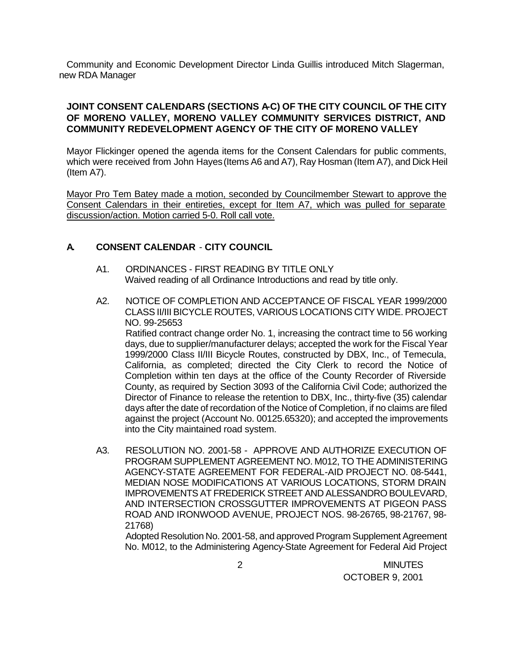Community and Economic Development Director Linda Guillis introduced Mitch Slagerman, new RDA Manager

# **JOINT CONSENT CALENDARS (SECTIONS A-C) OF THE CITY COUNCIL OF THE CITY OF MORENO VALLEY, MORENO VALLEY COMMUNITY SERVICES DISTRICT, AND COMMUNITY REDEVELOPMENT AGENCY OF THE CITY OF MORENO VALLEY**

Mayor Flickinger opened the agenda items for the Consent Calendars for public comments, which were received from John Hayes (Items A6 and A7), Ray Hosman (Item A7), and Dick Heil (Item A7).

Mayor Pro Tem Batey made a motion, seconded by Councilmember Stewart to approve the Consent Calendars in their entireties, except for Item A7, which was pulled for separate discussion/action. Motion carried 5-0. Roll call vote.

# **A. CONSENT CALENDAR** - **CITY COUNCIL**

- A1. ORDINANCES FIRST READING BY TITLE ONLY Waived reading of all Ordinance Introductions and read by title only.
- A2. NOTICE OF COMPLETION AND ACCEPTANCE OF FISCAL YEAR 1999/2000 CLASS II/III BICYCLE ROUTES, VARIOUS LOCATIONS CITY WIDE. PROJECT NO. 99-25653

Ratified contract change order No. 1, increasing the contract time to 56 working days, due to supplier/manufacturer delays; accepted the work for the Fiscal Year 1999/2000 Class II/III Bicycle Routes, constructed by DBX, Inc., of Temecula, California, as completed; directed the City Clerk to record the Notice of Completion within ten days at the office of the County Recorder of Riverside County, as required by Section 3093 of the California Civil Code; authorized the Director of Finance to release the retention to DBX, Inc., thirty-five (35) calendar days after the date of recordation of the Notice of Completion, if no claims are filed against the project (Account No. 00125.65320); and accepted the improvements into the City maintained road system.

A3. RESOLUTION NO. 2001-58 - APPROVE AND AUTHORIZE EXECUTION OF PROGRAM SUPPLEMENT AGREEMENT NO. M012, TO THE ADMINISTERING AGENCY-STATE AGREEMENT FOR FEDERAL-AID PROJECT NO. 08-5441, MEDIAN NOSE MODIFICATIONS AT VARIOUS LOCATIONS, STORM DRAIN IMPROVEMENTS AT FREDERICK STREET AND ALESSANDRO BOULEVARD, AND INTERSECTION CROSSGUTTER IMPROVEMENTS AT PIGEON PASS ROAD AND IRONWOOD AVENUE, PROJECT NOS. 98-26765, 98-21767, 98- 21768)

Adopted Resolution No. 2001-58, and approved Program Supplement Agreement No. M012, to the Administering Agency-State Agreement for Federal Aid Project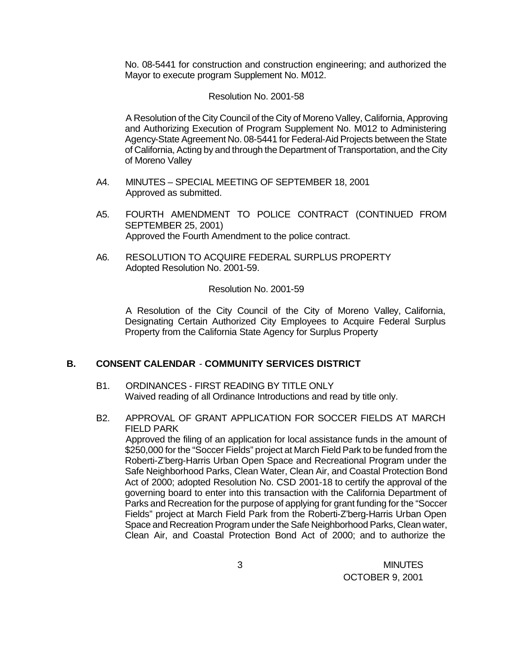No. 08-5441 for construction and construction engineering; and authorized the Mayor to execute program Supplement No. M012.

#### Resolution No. 2001-58

A Resolution of the City Council of the City of Moreno Valley, California, Approving and Authorizing Execution of Program Supplement No. M012 to Administering Agency-State Agreement No. 08-5441 for Federal-Aid Projects between the State of California, Acting by and through the Department of Transportation, and the City of Moreno Valley

- A4. MINUTES SPECIAL MEETING OF SEPTEMBER 18, 2001 Approved as submitted.
- A5. FOURTH AMENDMENT TO POLICE CONTRACT (CONTINUED FROM SEPTEMBER 25, 2001) Approved the Fourth Amendment to the police contract.
- A6. RESOLUTION TO ACQUIRE FEDERAL SURPLUS PROPERTY Adopted Resolution No. 2001-59.

### Resolution No. 2001-59

A Resolution of the City Council of the City of Moreno Valley, California, Designating Certain Authorized City Employees to Acquire Federal Surplus Property from the California State Agency for Surplus Property

### **B. CONSENT CALENDAR** - **COMMUNITY SERVICES DISTRICT**

- B1. ORDINANCES FIRST READING BY TITLE ONLY Waived reading of all Ordinance Introductions and read by title only.
- B2. APPROVAL OF GRANT APPLICATION FOR SOCCER FIELDS AT MARCH FIELD PARK

Approved the filing of an application for local assistance funds in the amount of \$250,000 for the "Soccer Fields" project at March Field Park to be funded from the Roberti-Z'berg-Harris Urban Open Space and Recreational Program under the Safe Neighborhood Parks, Clean Water, Clean Air, and Coastal Protection Bond Act of 2000; adopted Resolution No. CSD 2001-18 to certify the approval of the governing board to enter into this transaction with the California Department of Parks and Recreation for the purpose of applying for grant funding for the "Soccer Fields" project at March Field Park from the Roberti-Z'berg-Harris Urban Open Space and Recreation Program under the Safe Neighborhood Parks, Clean water, Clean Air, and Coastal Protection Bond Act of 2000; and to authorize the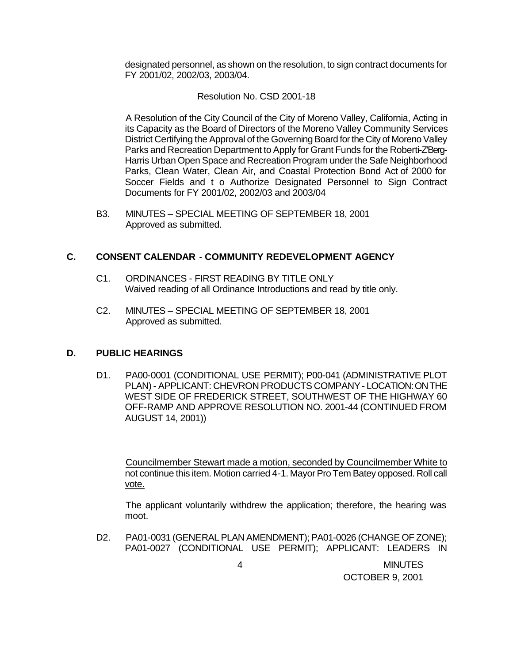designated personnel, as shown on the resolution, to sign contract documents for FY 2001/02, 2002/03, 2003/04.

### Resolution No. CSD 2001-18

A Resolution of the City Council of the City of Moreno Valley, California, Acting in its Capacity as the Board of Directors of the Moreno Valley Community Services District Certifying the Approval of the Governing Board for the City of Moreno Valley Parks and Recreation Department to Apply for Grant Funds for the Roberti-Z'Berg-Harris Urban Open Space and Recreation Program under the Safe Neighborhood Parks, Clean Water, Clean Air, and Coastal Protection Bond Act of 2000 for Soccer Fields and t o Authorize Designated Personnel to Sign Contract Documents for FY 2001/02, 2002/03 and 2003/04

B3. MINUTES – SPECIAL MEETING OF SEPTEMBER 18, 2001 Approved as submitted.

### **C. CONSENT CALENDAR** - **COMMUNITY REDEVELOPMENT AGENCY**

- C1. ORDINANCES FIRST READING BY TITLE ONLY Waived reading of all Ordinance Introductions and read by title only.
- C2. MINUTES SPECIAL MEETING OF SEPTEMBER 18, 2001 Approved as submitted.

#### **D. PUBLIC HEARINGS**

D1. PA00-0001 (CONDITIONAL USE PERMIT); P00-041 (ADMINISTRATIVE PLOT PLAN) - APPLICANT: CHEVRON PRODUCTS COMPANY - LOCATION: ON THE WEST SIDE OF FREDERICK STREET, SOUTHWEST OF THE HIGHWAY 60 OFF-RAMP AND APPROVE RESOLUTION NO. 2001-44 (CONTINUED FROM AUGUST 14, 2001))

Councilmember Stewart made a motion, seconded by Councilmember White to not continue this item. Motion carried 4-1. Mayor Pro Tem Batey opposed. Roll call vote.

The applicant voluntarily withdrew the application; therefore, the hearing was moot.

D2. PA01-0031 (GENERAL PLAN AMENDMENT); PA01-0026 (CHANGE OF ZONE); PA01-0027 (CONDITIONAL USE PERMIT); APPLICANT: LEADERS IN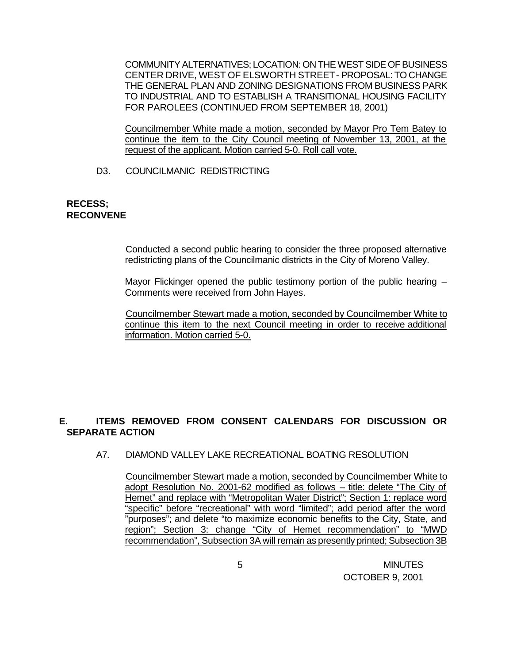COMMUNITY ALTERNATIVES; LOCATION: ON THE WEST SIDE OF BUSINESS CENTER DRIVE, WEST OF ELSWORTH STREET - PROPOSAL: TO CHANGE THE GENERAL PLAN AND ZONING DESIGNATIONS FROM BUSINESS PARK TO INDUSTRIAL AND TO ESTABLISH A TRANSITIONAL HOUSING FACILITY FOR PAROLEES (CONTINUED FROM SEPTEMBER 18, 2001)

Councilmember White made a motion, seconded by Mayor Pro Tem Batey to continue the item to the City Council meeting of November 13, 2001, at the request of the applicant. Motion carried 5-0. Roll call vote.

### D3. COUNCILMANIC REDISTRICTING

#### **RECESS; RECONVENE**

Conducted a second public hearing to consider the three proposed alternative redistricting plans of the Councilmanic districts in the City of Moreno Valley.

Mayor Flickinger opened the public testimony portion of the public hearing -Comments were received from John Hayes.

Councilmember Stewart made a motion, seconded by Councilmember White to continue this item to the next Council meeting in order to receive additional information. Motion carried 5-0.

# **E. ITEMS REMOVED FROM CONSENT CALENDARS FOR DISCUSSION OR SEPARATE ACTION**

A7. DIAMOND VALLEY LAKE RECREATIONAL BOATING RESOLUTION

Councilmember Stewart made a motion, seconded by Councilmember White to adopt Resolution No. 2001-62 modified as follows – title: delete "The City of Hemet" and replace with "Metropolitan Water District"; Section 1: replace word "specific" before "recreational" with word "limited"; add period after the word "purposes"; and delete "to maximize economic benefits to the City, State, and region"; Section 3: change "City of Hemet recommendation" to "MWD recommendation", Subsection 3A will remain as presently printed; Subsection 3B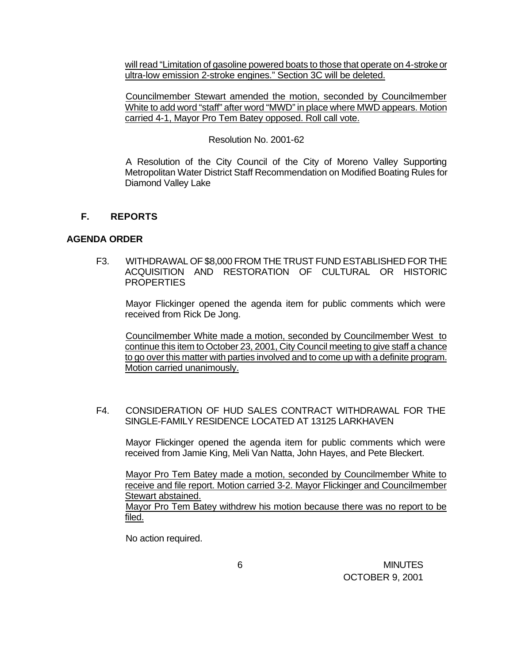will read "Limitation of gasoline powered boats to those that operate on 4-stroke or ultra-low emission 2-stroke engines." Section 3C will be deleted.

Councilmember Stewart amended the motion, seconded by Councilmember White to add word "staff" after word "MWD" in place where MWD appears. Motion carried 4-1, Mayor Pro Tem Batey opposed. Roll call vote.

### Resolution No. 2001-62

A Resolution of the City Council of the City of Moreno Valley Supporting Metropolitan Water District Staff Recommendation on Modified Boating Rules for Diamond Valley Lake

# **F. REPORTS**

### **AGENDA ORDER**

F3. WITHDRAWAL OF \$8,000 FROM THE TRUST FUND ESTABLISHED FOR THE ACQUISITION AND RESTORATION OF CULTURAL OR HISTORIC **PROPERTIES** 

Mayor Flickinger opened the agenda item for public comments which were received from Rick De Jong.

Councilmember White made a motion, seconded by Councilmember West to continue this item to October 23, 2001, City Council meeting to give staff a chance to go over this matter with parties involved and to come up with a definite program. Motion carried unanimously.

### F4. CONSIDERATION OF HUD SALES CONTRACT WITHDRAWAL FOR THE SINGLE-FAMILY RESIDENCE LOCATED AT 13125 LARKHAVEN

Mayor Flickinger opened the agenda item for public comments which were received from Jamie King, Meli Van Natta, John Hayes, and Pete Bleckert.

Mayor Pro Tem Batey made a motion, seconded by Councilmember White to receive and file report. Motion carried 3-2. Mayor Flickinger and Councilmember Stewart abstained. Mayor Pro Tem Batey withdrew his motion because there was no report to be filed.

No action required.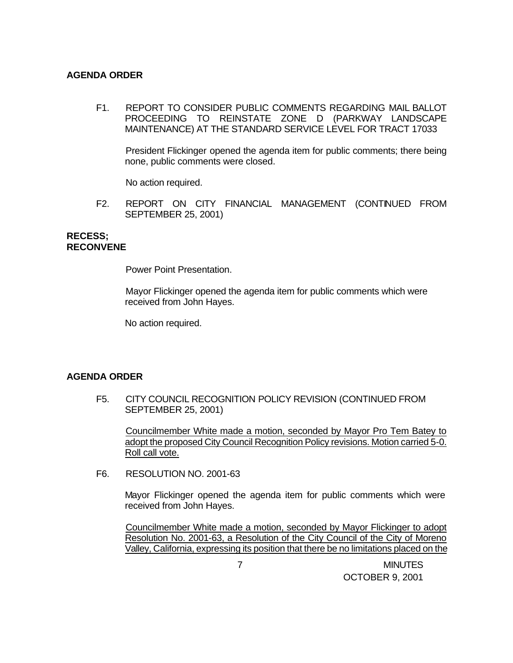### **AGENDA ORDER**

F1. REPORT TO CONSIDER PUBLIC COMMENTS REGARDING MAIL BALLOT PROCEEDING TO REINSTATE ZONE D (PARKWAY LANDSCAPE MAINTENANCE) AT THE STANDARD SERVICE LEVEL FOR TRACT 17033

President Flickinger opened the agenda item for public comments; there being none, public comments were closed.

No action required.

F2. REPORT ON CITY FINANCIAL MANAGEMENT (CONTINUED FROM SEPTEMBER 25, 2001)

#### **RECESS; RECONVENE**

Power Point Presentation.

Mayor Flickinger opened the agenda item for public comments which were received from John Hayes.

No action required.

#### **AGENDA ORDER**

F5. CITY COUNCIL RECOGNITION POLICY REVISION (CONTINUED FROM SEPTEMBER 25, 2001)

Councilmember White made a motion, seconded by Mayor Pro Tem Batey to adopt the proposed City Council Recognition Policy revisions. Motion carried 5-0. Roll call vote.

F6. RESOLUTION NO. 2001-63

Mayor Flickinger opened the agenda item for public comments which were received from John Hayes.

Councilmember White made a motion, seconded by Mayor Flickinger to adopt Resolution No. 2001-63, a Resolution of the City Council of the City of Moreno Valley, California, expressing its position that there be no limitations placed on the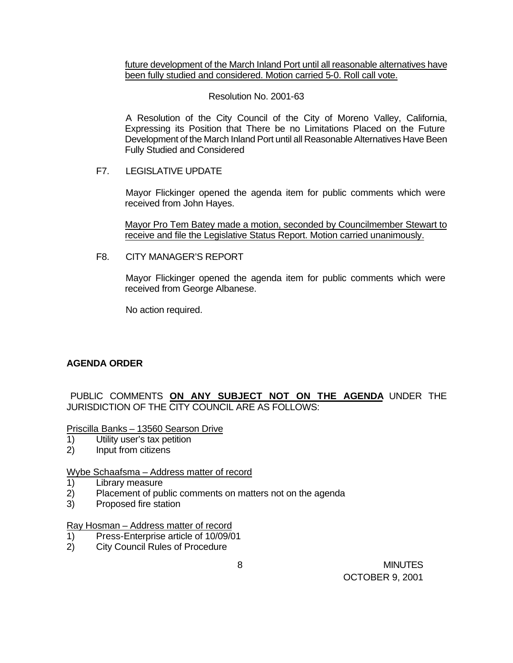future development of the March Inland Port until all reasonable alternatives have been fully studied and considered. Motion carried 5-0. Roll call vote.

### Resolution No. 2001-63

A Resolution of the City Council of the City of Moreno Valley, California, Expressing its Position that There be no Limitations Placed on the Future Development of the March Inland Port until all Reasonable Alternatives Have Been Fully Studied and Considered

### F7. LEGISLATIVE UPDATE

Mayor Flickinger opened the agenda item for public comments which were received from John Hayes.

Mayor Pro Tem Batey made a motion, seconded by Councilmember Stewart to receive and file the Legislative Status Report. Motion carried unanimously.

F8. CITY MANAGER'S REPORT

Mayor Flickinger opened the agenda item for public comments which were received from George Albanese.

No action required.

# **AGENDA ORDER**

PUBLIC COMMENTS **ON ANY SUBJECT NOT ON THE AGENDA** UNDER THE JURISDICTION OF THE CITY COUNCIL ARE AS FOLLOWS:

Priscilla Banks – 13560 Searson Drive

- 1) Utility user's tax petition
- 2) Input from citizens

### Wybe Schaafsma – Address matter of record

- 1) Library measure
- 2) Placement of public comments on matters not on the agenda
- 3) Proposed fire station

Ray Hosman – Address matter of record

- 1) Press-Enterprise article of 10/09/01
- 2) City Council Rules of Procedure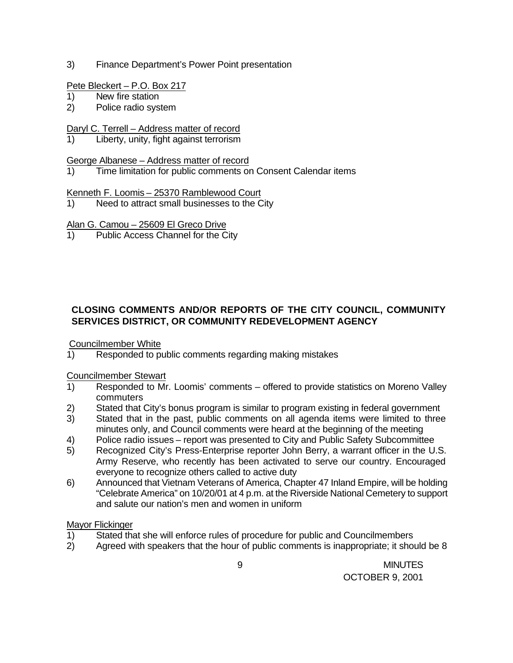3) Finance Department's Power Point presentation

## Pete Bleckert – P.O. Box 217

- 1) New fire station
- 2) Police radio system

# Daryl C. Terrell – Address matter of record

Liberty, unity, fight against terrorism

## George Albanese – Address matter of record

1) Time limitation for public comments on Consent Calendar items

# Kenneth F. Loomis – 25370 Ramblewood Court

1) Need to attract small businesses to the City

# Alan G. Camou – 25609 El Greco Drive

1) Public Access Channel for the City

# **CLOSING COMMENTS AND/OR REPORTS OF THE CITY COUNCIL, COMMUNITY SERVICES DISTRICT, OR COMMUNITY REDEVELOPMENT AGENCY**

Councilmember White

1) Responded to public comments regarding making mistakes

### Councilmember Stewart

- 1) Responded to Mr. Loomis' comments offered to provide statistics on Moreno Valley commuters
- 2) Stated that City's bonus program is similar to program existing in federal government
- 3) Stated that in the past, public comments on all agenda items were limited to three minutes only, and Council comments were heard at the beginning of the meeting
- 4) Police radio issues report was presented to City and Public Safety Subcommittee
- 5) Recognized City's Press-Enterprise reporter John Berry, a warrant officer in the U.S. Army Reserve, who recently has been activated to serve our country. Encouraged everyone to recognize others called to active duty
- 6) Announced that Vietnam Veterans of America, Chapter 47 Inland Empire, will be holding "Celebrate America" on 10/20/01 at 4 p.m. at the Riverside National Cemetery to support and salute our nation's men and women in uniform

# Mayor Flickinger

- 1) Stated that she will enforce rules of procedure for public and Councilmembers
- 2) Agreed with speakers that the hour of public comments is inappropriate; it should be 8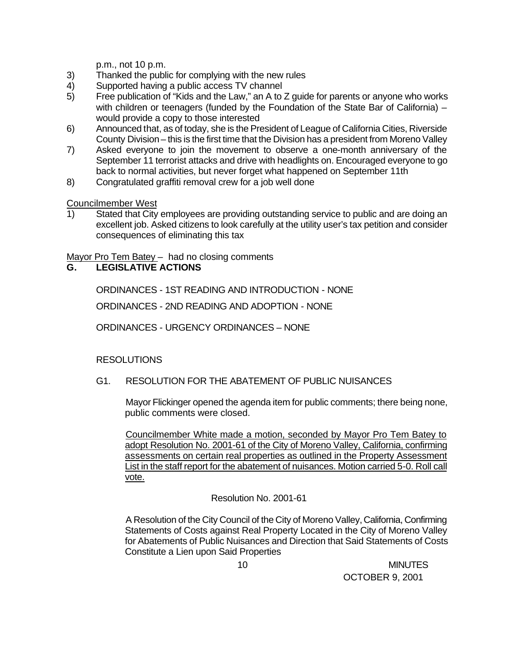p.m., not 10 p.m.

- 3) Thanked the public for complying with the new rules
- 4) Supported having a public access TV channel
- 5) Free publication of "Kids and the Law," an A to Z guide for parents or anyone who works with children or teenagers (funded by the Foundation of the State Bar of California) – would provide a copy to those interested
- 6) Announced that, as of today, she is the President of League of California Cities, Riverside County Division – this is the first time that the Division has a president from Moreno Valley
- 7) Asked everyone to join the movement to observe a one-month anniversary of the September 11 terrorist attacks and drive with headlights on. Encouraged everyone to go back to normal activities, but never forget what happened on September 11th
- 8) Congratulated graffiti removal crew for a job well done

Councilmember West

1) Stated that City employees are providing outstanding service to public and are doing an excellent job. Asked citizens to look carefully at the utility user's tax petition and consider consequences of eliminating this tax

Mayor Pro Tem Batey – had no closing comments

# **G. LEGISLATIVE ACTIONS**

ORDINANCES - 1ST READING AND INTRODUCTION - NONE

ORDINANCES - 2ND READING AND ADOPTION - NONE

ORDINANCES - URGENCY ORDINANCES – NONE

# RESOLUTIONS

### G1. RESOLUTION FOR THE ABATEMENT OF PUBLIC NUISANCES

Mayor Flickinger opened the agenda item for public comments; there being none, public comments were closed.

Councilmember White made a motion, seconded by Mayor Pro Tem Batey to adopt Resolution No. 2001-61 of the City of Moreno Valley, California, confirming assessments on certain real properties as outlined in the Property Assessment List in the staff report for the abatement of nuisances. Motion carried 5-0. Roll call vote.

### Resolution No. 2001-61

A Resolution of the City Council of the City of Moreno Valley, California, Confirming Statements of Costs against Real Property Located in the City of Moreno Valley for Abatements of Public Nuisances and Direction that Said Statements of Costs Constitute a Lien upon Said Properties